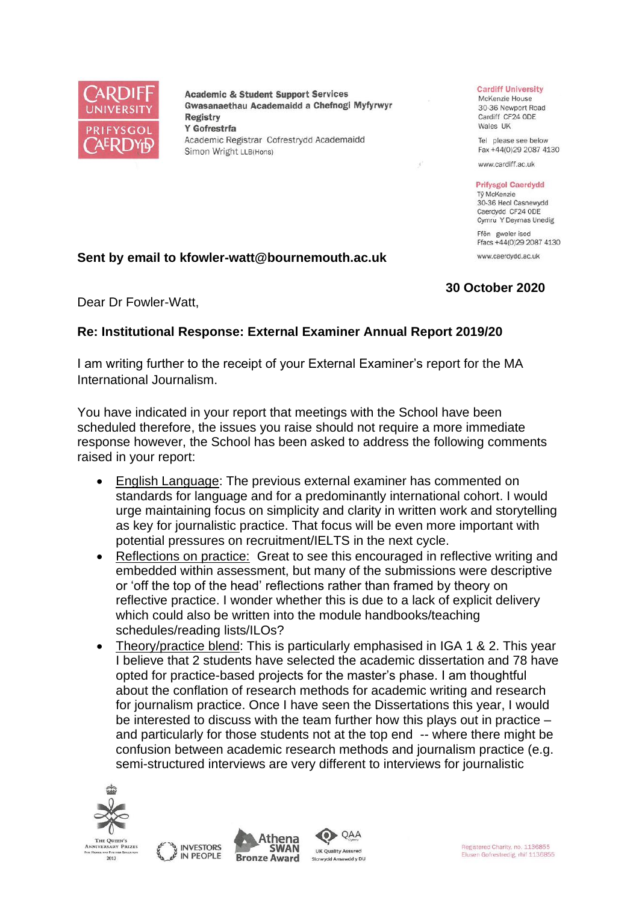

**Academic & Student Support Services** Gwasanaethau Academaidd a Chefnogi Myfyrwyr **Registry** Y Gofrestrfa Academic Registrar Cofrestrydd Academaidd Simon Wright LLB(Hons)

## **Cardiff University**

McKenzie House 30-36 Newport Road Cardiff CF24 ODE Wales UK

Tel please see below Fax +44(0)29 2087 4130

www.cardiff.ac.uk

## **Prifysgol Caerdydd**

Tỷ McKenzie 30-36 Heol Casnewydd Caerdydd CF24 ODE Cymru Y Deyrnas Unedig Ffôn gweler isod

Ffacs +44(0)29 2087 4130 www.caerdvdd.ac.uk

## **30 October 2020**

Dear Dr Fowler-Watt,

## **Re: Institutional Response: External Examiner Annual Report 2019/20**

**Sent by email to kfowler-watt@bournemouth.ac.uk**

I am writing further to the receipt of your External Examiner's report for the MA International Journalism.

You have indicated in your report that meetings with the School have been scheduled therefore, the issues you raise should not require a more immediate response however, the School has been asked to address the following comments raised in your report:

- English Language: The previous external examiner has commented on standards for language and for a predominantly international cohort. I would urge maintaining focus on simplicity and clarity in written work and storytelling as key for journalistic practice. That focus will be even more important with potential pressures on recruitment/IELTS in the next cycle.
- Reflections on practice: Great to see this encouraged in reflective writing and embedded within assessment, but many of the submissions were descriptive or 'off the top of the head' reflections rather than framed by theory on reflective practice. I wonder whether this is due to a lack of explicit delivery which could also be written into the module handbooks/teaching schedules/reading lists/ILOs?
- Theory/practice blend: This is particularly emphasised in IGA 1 & 2. This year I believe that 2 students have selected the academic dissertation and 78 have opted for practice-based projects for the master's phase. I am thoughtful about the conflation of research methods for academic writing and research for journalism practice. Once I have seen the Dissertations this year, I would be interested to discuss with the team further how this plays out in practice – and particularly for those students not at the top end -- where there might be confusion between academic research methods and journalism practice (e.g. semi-structured interviews are very different to interviews for journalistic

QAA







Registered Charity, no. 1136855 Elusen Gofrestredig, rhif 1136855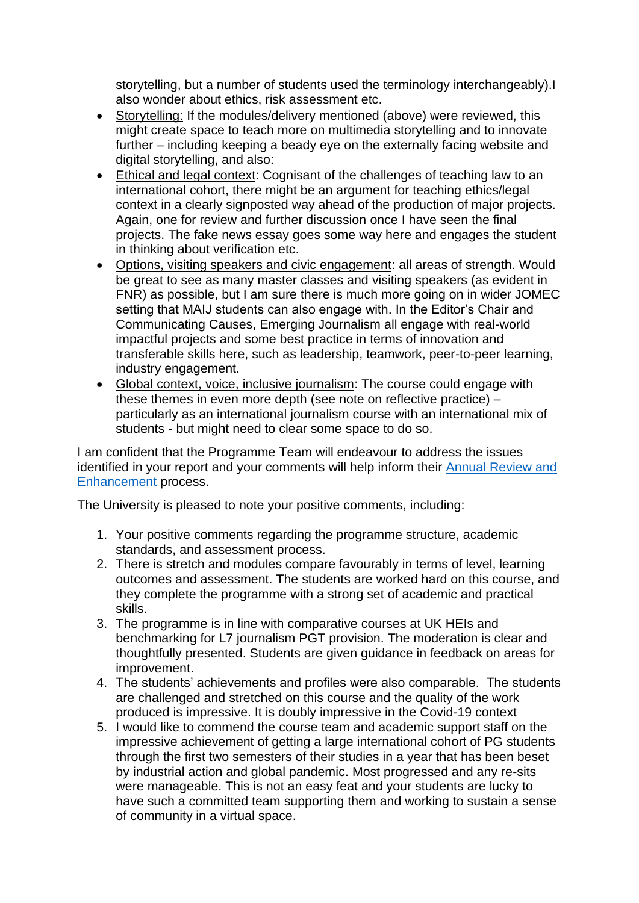storytelling, but a number of students used the terminology interchangeably).I also wonder about ethics, risk assessment etc.

- Storytelling: If the modules/delivery mentioned (above) were reviewed, this might create space to teach more on multimedia storytelling and to innovate further – including keeping a beady eye on the externally facing website and digital storytelling, and also:
- Ethical and legal context: Cognisant of the challenges of teaching law to an international cohort, there might be an argument for teaching ethics/legal context in a clearly signposted way ahead of the production of major projects. Again, one for review and further discussion once I have seen the final projects. The fake news essay goes some way here and engages the student in thinking about verification etc.
- Options, visiting speakers and civic engagement: all areas of strength. Would be great to see as many master classes and visiting speakers (as evident in FNR) as possible, but I am sure there is much more going on in wider JOMEC setting that MAIJ students can also engage with. In the Editor's Chair and Communicating Causes, Emerging Journalism all engage with real-world impactful projects and some best practice in terms of innovation and transferable skills here, such as leadership, teamwork, peer-to-peer learning, industry engagement.
- Global context, voice, inclusive journalism: The course could engage with these themes in even more depth (see note on reflective practice) – particularly as an international journalism course with an international mix of students - but might need to clear some space to do so.

I am confident that the Programme Team will endeavour to address the issues identified in your report and your comments will help inform their [Annual Review and](https://www.cardiff.ac.uk/public-information/quality-and-standards/monitoring-and-review/annual-review-and-enhancement)  [Enhancement](https://www.cardiff.ac.uk/public-information/quality-and-standards/monitoring-and-review/annual-review-and-enhancement) process.

The University is pleased to note your positive comments, including:

- 1. Your positive comments regarding the programme structure, academic standards, and assessment process.
- 2. There is stretch and modules compare favourably in terms of level, learning outcomes and assessment. The students are worked hard on this course, and they complete the programme with a strong set of academic and practical skills.
- 3. The programme is in line with comparative courses at UK HEIs and benchmarking for L7 journalism PGT provision. The moderation is clear and thoughtfully presented. Students are given guidance in feedback on areas for improvement.
- 4. The students' achievements and profiles were also comparable. The students are challenged and stretched on this course and the quality of the work produced is impressive. It is doubly impressive in the Covid-19 context
- 5. I would like to commend the course team and academic support staff on the impressive achievement of getting a large international cohort of PG students through the first two semesters of their studies in a year that has been beset by industrial action and global pandemic. Most progressed and any re-sits were manageable. This is not an easy feat and your students are lucky to have such a committed team supporting them and working to sustain a sense of community in a virtual space.